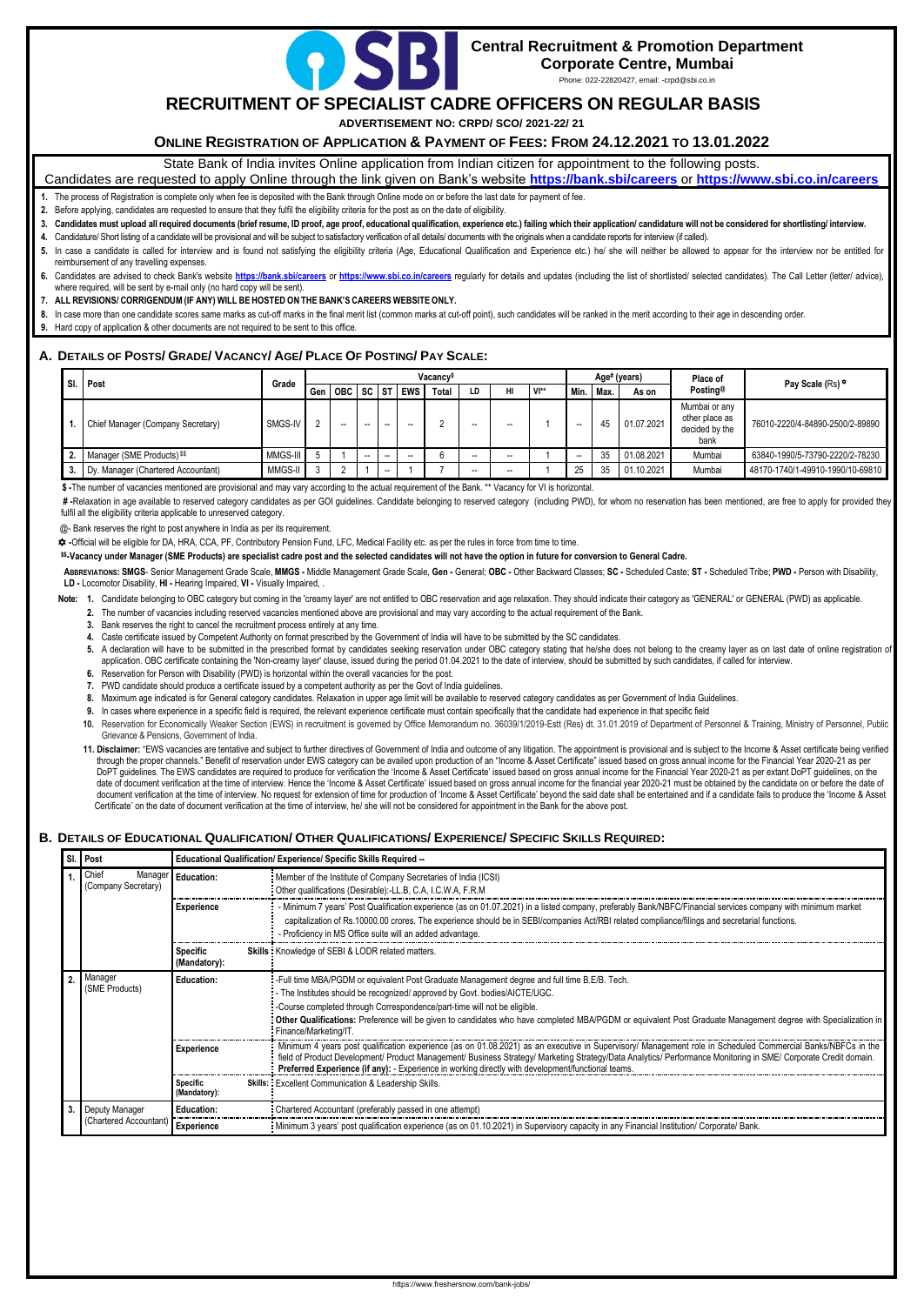

# **Central Recruitment & Promotion Department**

**Corporate Centre, Mumbai**

Phone: 022-22820427, email: -crpd@sbi.co.in

## **RECRUITMENT OF SPECIALIST CADRE OFFICERS ON REGULAR BASIS**

**ADVERTISEMENT NO: CRPD/ SCO/ 2021-22/ 21**

**ONLINE REGISTRATION OF APPLICATION & PAYMENT OF FEES: FROM 24.12.2021 TO 13.01.2022**

State Bank of India invites Online application from Indian citizen for appointment to the following posts.

Candidates are requested to apply Online through the link given on Bank's website **<https://bank.sbi/careers>** or **<https://www.sbi.co.in/careers>**

- **1.** The process of Registration is complete only when fee is deposited with the Bank through Online mode on or before the last date for payment of fee.
- **2.** Before applying, candidates are requested to ensure that they fulfil the eligibility criteria for the post as on the date of eligibility.
- 3. Candidates must upload all required documents (brief resume, ID proof, age proof, educational qualification, experience etc.) failing which their application/ candidature will not be considered for shortlisting/ intervi
- Candidature/ Short listing of a candidate will be provisional and will be subject to satisfactory verification of all details/ documents with the originals when a candidate reports for interview (if called).
- 5. In case a candidate is called for interview and is found not satisfying the eligibility criteria (Age, Educational Qualification and Experience etc.) he/ she will neither be allowed to appear for the interview nor be en reimbursement of any travelling expenses.
- Candidates are advised to check Bank's website <https://bank.sbi/careers> or <https://www.sbi.co.in/careers> regularly for details and updates (including the list of shortlisted/ selected candidates). The Call Letter (letter/ where required, will be sent by e-mail only (no hard copy will be sent).
- **7. ALL REVISIONS/ CORRIGENDUM (IF ANY) WILL BE HOSTED ON THE BANK'S CAREERS WEBSITE ONLY.**
- **8.** In case more than one candidate scores same marks as cut-off marks in the final merit list (common marks at cut-off point), such candidates will be ranked in the merit according to their age in descending order.
- **9.** Hard copy of application & other documents are not required to be sent to this office.

## A. DETAILS OF POSTS/ GRADE/ VACANCY/ AGE/ PLACE OF POSTING/ PAY SCALE:

#-Relaxation in age available to reserved category candidates as per GOI guidelines. Candidate belonging to reserved category (including PWD), for whom no reservation has been mentioned, are free to apply for provided they fulfil all the eligibility criteria applicable to unreserved category.

ABBREVIATIONS: SMGS- Senior Management Grade Scale, MMGS - Middle Management Grade Scale, Gen - General; OBC - Other Backward Classes; SC - Scheduled Caste; ST - Scheduled Tribe; PWD - Person with Disability, **LD -** Locomotor Disability, **HI -** Hearing Impaired, **VI -** Visually Impaired, .

Note: 1. Candidate belonging to OBC category but coming in the 'creamy layer' are not entitled to OBC reservation and age relaxation. They should indicate their category as 'GENERAL' or GENERAL (PWD) as applicable.

| Vacancy <sup>\$</sup><br>SI. Post<br>Grade |                                        |          |  |                     |    |    |            | Age# (years) |       |    | Place of       |      |      |            |                                                           |                                  |
|--------------------------------------------|----------------------------------------|----------|--|---------------------|----|----|------------|--------------|-------|----|----------------|------|------|------------|-----------------------------------------------------------|----------------------------------|
|                                            |                                        |          |  | Gen   OBC   SC   ST |    |    | <b>EWS</b> | Total        | LD    | HI | $V^{\ast\ast}$ | Min. | Max. | As on      | Posting <sup>@</sup>                                      | Pay Scale (Rs) $\star$           |
|                                            | Chief Manager (Company Secretary)      | SMGS-IV  |  | --                  | -- | -- | --         |              | $- -$ |    |                | --   | 45   | 01.07.2021 | Mumbai or any<br>other place as<br>decided by the<br>bank | 76010-2220/4-84890-2500/2-89890  |
|                                            | Manager (SME Products) <sup>\$\$</sup> | MMGS-III |  |                     | -- | -- | --         |              | $- -$ |    |                | --   | 35   | 01.08.2021 | Mumbai                                                    | 63840-1990/5-73790-2220/2-78230  |
|                                            | Dy. Manager (Chartered Accountant)     | MMGS-II  |  |                     |    | -- |            |              | $- -$ | -- |                | 25   | 35   | 01.10.2021 | Mumbai                                                    | 48170-1740/1-49910-1990/10-69810 |

 **\$ -**The number of vacancies mentioned are provisional and may vary according to the actual requirement of the Bank. \*\* Vacancy for VI is horizontal.

@- Bank reserves the right to post anywhere in India as per its requirement.

**-**Official will be eligible for DA, HRA, CCA, PF, Contributory Pension Fund, LFC, Medical Facility etc. as per the rules in force from time to time.

**\$\$-Vacancy under Manager (SME Products) are specialist cadre post and the selected candidates will not have the option in future for conversion to General Cadre.**

- **2.** The number of vacancies including reserved vacancies mentioned above are provisional and may vary according to the actual requirement of the Bank.
- **3.** Bank reserves the right to cancel the recruitment process entirely at any time.
- **4.** Caste certificate issued by Competent Authority on format prescribed by the Government of India will have to be submitted by the SC candidates.
- 5. A declaration will have to be submitted in the prescribed format by candidates seeking reservation under OBC category stating that he/she does not belong to the creamy layer as on last date of online registration of application. OBC certificate containing the 'Non-creamy layer' clause, issued during the period 01.04.2021 to the date of interview, should be submitted by such candidates, if called for interview.
- **6.** Reservation for Person with Disability (PWD) is horizontal within the overall vacancies for the post.
- **7.** PWD candidate should produce a certificate issued by a competent authority as per the Govt of India guidelines.
- **8.** Maximum age indicated is for General category candidates. Relaxation in upper age limit will be available to reserved category candidates as per Government of India Guidelines.
- **9.** In cases where experience in a specific field is required, the relevant experience certificate must contain specifically that the candidate had experience in that specific field
- **10.** Reservation for Economically Weaker Section (EWS) in recruitment is governed by Office Memorandum no. 36039/1/2019-Estt (Res) dt. 31.01.2019 of Department of Personnel & Training, Ministry of Personnel, Public Grievance & Pensions, Government of India.
- 11. Disclaimer: "EWS vacancies are tentative and subject to further directives of Government of India and outcome of any litigation. The appointment is provisional and is subject to the Income & Asset certificate being ver through the proper channels." Benefit of reservation under EWS category can be availed upon production of an "Income & Asset Certificate" issued based on gross annual income for the Financial Year 2020-21 as per DoPT guidelines. The EWS candidates are required to produce for verification the 'Income & Asset Certificate' issued based on gross annual income for the Financial Year 2020-21 as per extant DoPT guidelines, on the date of document verification at the time of interview. Hence the 'Income & Asset Certificate' issued based on gross annual income for the financial year 2020-21 must be obtained by the candidate on or before the date of document verification at the time of interview. No request for extension of time for production of 'Income & Asset Certificate' beyond the said date shall be entertained and if a candidate fails to produce the 'Income & As Certificate' on the date of document verification at the time of interview, he/ she will not be considered for appointment in the Bank for the above post.

## B. DETAILS OF EDUCATIONAL QUALIFICATION/ OTHER QUALIFICATIONS/ EXPERIENCE/ SPECIFIC SKILLS REQUIRED:

| SI | Post                                     |                                 | Educational Qualification/ Experience/ Specific Skills Required --                                                                                                                                                                                                                                                                                                                                                                                    |
|----|------------------------------------------|---------------------------------|-------------------------------------------------------------------------------------------------------------------------------------------------------------------------------------------------------------------------------------------------------------------------------------------------------------------------------------------------------------------------------------------------------------------------------------------------------|
|    | Chief<br>(Company Secretary)             | Manager Education:              | : Member of the Institute of Company Secretaries of India (ICSI)<br>: Other qualifications (Desirable):-LL.B, C.A, I.C.W.A, F.R.M                                                                                                                                                                                                                                                                                                                     |
|    |                                          | <b>Experience</b>               | - Minimum 7 years' Post Qualification experience (as on 01.07.2021) in a listed company, preferably Bank/NBFC/Financial services company with minimum market<br>capitalization of Rs.10000.00 crores. The experience should be in SEBI/companies Act/RBI related compliance/filings and secretarial functions.<br>- Proficiency in MS Office suite will an added advantage.                                                                           |
|    |                                          | <b>Specific</b><br>(Mandatory): | Skills : Knowledge of SEBI & LODR related matters.                                                                                                                                                                                                                                                                                                                                                                                                    |
|    | Manager<br>(SME Products)                | <b>Education:</b>               | -Full time MBA/PGDM or equivalent Post Graduate Management degree and full time B.E/B. Tech.<br>- The Institutes should be recognized/ approved by Govt. bodies/AICTE/UGC.<br>- Course completed through Correspondence/part-time will not be eligible.<br>: Other Qualifications: Preference will be given to candidates who have completed MBA/PGDM or equivalent Post Graduate Management degree with Specialization in<br>: Finance/Marketing/IT. |
|    |                                          | <b>Experience</b>               | Minimum 4 years post qualification experience (as on 01.08.2021) as an executive in Supervisory/ Management role in Scheduled Commercial Banks/NBFCs in the<br>field of Product Development/ Product Management/ Business Strategy/ Marketing Strategy/Data Analytics/ Performance Monitoring in SME/ Corporate Credit domain.<br>Preferred Experience (if any): - Experience in working directly with development/functional teams.                  |
|    |                                          | <b>Specific</b><br>(Mandatory): | Skills: Excellent Communication & Leadership Skills.                                                                                                                                                                                                                                                                                                                                                                                                  |
| 3. | Deputy Manager<br>(Chartered Accountant) | <b>Education:</b>               | : Chartered Accountant (preferably passed in one attempt)                                                                                                                                                                                                                                                                                                                                                                                             |
|    |                                          | Experience                      | . Minimum 3 years' post qualification experience (as on 01.10.2021) in Supervisory capacity in any Financial Institution/ Corporate/ Bank.                                                                                                                                                                                                                                                                                                            |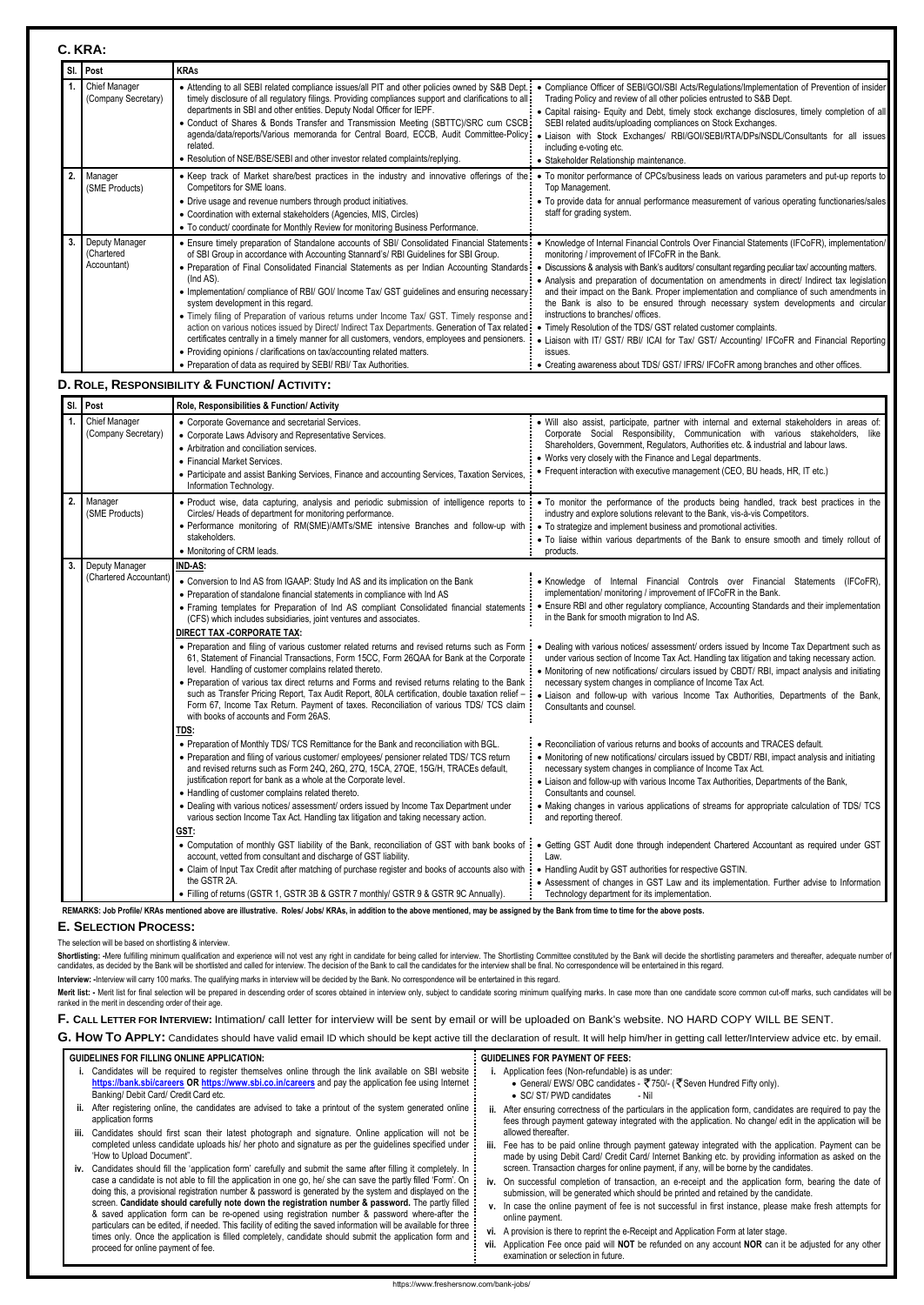#### **C. KRA:**

|              | SI. Post                                    | <b>KRAs</b>                                                                                                                                                                                                                                                                                                                                                                                                                                                                                                                                                                                                                                                                                                                                                                                                                                                                                    |                                                                                                                                                                                                                                                                                                                                                                                                                                                                                                                                                                                                                                                                                                                                                                                                                                                        |
|--------------|---------------------------------------------|------------------------------------------------------------------------------------------------------------------------------------------------------------------------------------------------------------------------------------------------------------------------------------------------------------------------------------------------------------------------------------------------------------------------------------------------------------------------------------------------------------------------------------------------------------------------------------------------------------------------------------------------------------------------------------------------------------------------------------------------------------------------------------------------------------------------------------------------------------------------------------------------|--------------------------------------------------------------------------------------------------------------------------------------------------------------------------------------------------------------------------------------------------------------------------------------------------------------------------------------------------------------------------------------------------------------------------------------------------------------------------------------------------------------------------------------------------------------------------------------------------------------------------------------------------------------------------------------------------------------------------------------------------------------------------------------------------------------------------------------------------------|
| $\mathbf{1}$ | Chief Manager<br>(Company Secretary)        | • Attending to all SEBI related compliance issues/all PIT and other policies owned by S&B Dept.:<br>timely disclosure of all regulatory filings. Providing compliances support and clarifications to all:<br>departments in SBI and other entities. Deputy Nodal Officer for IEPF.<br>• Conduct of Shares & Bonds Transfer and Transmission Meeting (SBTTC)/SRC cum CSCB:<br>agenda/data/reports/Various memoranda for Central Board, ECCB, Audit Committee-Policy:<br>related.<br>• Resolution of NSE/BSE/SEBI and other investor related complaints/replying.                                                                                                                                                                                                                                                                                                                                | • Compliance Officer of SEBI/GOI/SBI Acts/Regulations/Implementation of Prevention of insider<br>Trading Policy and review of all other policies entrusted to S&B Dept.<br>• Capital raising- Equity and Debt, timely stock exchange disclosures, timely completion of all<br>SEBI related audits/uploading compliances on Stock Exchanges.<br>Liaison with Stock Exchanges/ RBI/GOI/SEBI/RTA/DPs/NSDL/Consultants for all issues<br>including e-voting etc.<br>· Stakeholder Relationship maintenance.                                                                                                                                                                                                                                                                                                                                                |
| 2.           | Manager<br>(SME Products)                   | • Keep track of Market share/best practices in the industry and innovative offerings of the:<br>Competitors for SME loans.<br>• Drive usage and revenue numbers through product initiatives.<br>• Coordination with external stakeholders (Agencies, MIS, Circles)<br>• To conduct/ coordinate for Monthly Review for monitoring Business Performance.                                                                                                                                                                                                                                                                                                                                                                                                                                                                                                                                         | • To monitor performance of CPCs/business leads on various parameters and put-up reports to<br>Top Management.<br>• To provide data for annual performance measurement of various operating functionaries/sales<br>staff for grading system.                                                                                                                                                                                                                                                                                                                                                                                                                                                                                                                                                                                                           |
|              | Deputy Manager<br>(Chartered<br>Accountant) | • Ensure timely preparation of Standalone accounts of SBI/ Consolidated Financial Statements:<br>of SBI Group in accordance with Accounting Stannard's/RBI Guidelines for SBI Group.<br>• Preparation of Final Consolidated Financial Statements as per Indian Accounting Standards:<br>(Ind AS).<br>• Implementation/ compliance of RBI/ GOI/ Income Tax/ GST guidelines and ensuring necessary:<br>system development in this regard.<br>. Timely filing of Preparation of various returns under Income Tax/ GST. Timely response and<br>action on various notices issued by Direct/ Indirect Tax Departments. Generation of Tax related:<br>certificates centrally in a timely manner for all customers, vendors, employees and pensioners.<br>• Providing opinions / clarifications on tax/accounting related matters.<br>• Preparation of data as required by SEBI/ RBI/ Tax Authorities. | • Knowledge of Internal Financial Controls Over Financial Statements (IFCoFR), implementation/<br>monitoring / improvement of IFCoFR in the Bank.<br>• Discussions & analysis with Bank's auditors/ consultant regarding peculiar tax/ accounting matters.<br>• Analysis and preparation of documentation on amendments in direct/ Indirect tax legislation<br>and their impact on the Bank. Proper implementation and compliance of such amendments in<br>the Bank is also to be ensured through necessary system developments and circular<br>instructions to branches/ offices.<br>• Timely Resolution of the TDS/ GST related customer complaints.<br>• Liaison with IT/ GST/ RBI/ ICAI for Tax/ GST/ Accounting/ IFCoFR and Financial Reporting<br>issues.<br>• Creating awareness about TDS/ GST/ IFRS/ IFCoFR among branches and other offices. |
|              |                                             | D. ROLE, RESPONSIBILITY & FUNCTION/ ACTIVITY:                                                                                                                                                                                                                                                                                                                                                                                                                                                                                                                                                                                                                                                                                                                                                                                                                                                  |                                                                                                                                                                                                                                                                                                                                                                                                                                                                                                                                                                                                                                                                                                                                                                                                                                                        |
|              | SI. Post                                    | Role, Responsibilities & Function/ Activity                                                                                                                                                                                                                                                                                                                                                                                                                                                                                                                                                                                                                                                                                                                                                                                                                                                    |                                                                                                                                                                                                                                                                                                                                                                                                                                                                                                                                                                                                                                                                                                                                                                                                                                                        |
|              | <b>Chief Manager</b><br>(Company Secretary) | • Corporate Governance and secretarial Services.<br>Cornerate Laws Advisory and Penrosantative Convices                                                                                                                                                                                                                                                                                                                                                                                                                                                                                                                                                                                                                                                                                                                                                                                        | · Will also assist, participate, partner with internal and external stakeholders in areas of:<br>Cornorate Social Responsibility Communication with various stakeholders like                                                                                                                                                                                                                                                                                                                                                                                                                                                                                                                                                                                                                                                                          |

Shortlisting: -Mere fulfilling minimum qualification and experience will not vest any right in candidate for being called for interview. The Shortlisting Committee constituted by the Bank will decide the shortlisting param candidates, as decided by the Bank will be shortlisted and called for interview. The decision of the Bank to call the candidates for the interview shall be final. No correspondence will be entertained in this regard.

Merit list: - Merit list for final selection will be prepared in descending order of scores obtained in interview only, subject to candidate scoring minimum qualifying marks. In case more than one candidate score common cu ranked in the merit in descending order of their age.

|    |                                          | $100, 1100, 0101, 0111, 000, 001, 0110, 0101, 0101, 0101, 0101, 0101, 0101, 0101, 0101, 0101, 0101, 0101, 0101, 0101, 0101, 0101, 0101, 0101, 0101, 0101, 0101, 0101, 0101, 0101, 0101, 0101, 0101, 0101, 0101, 0101, 0101, 0$                                                                                                                                                                                                                                                                                                                                                                          |                                                                                                                                                                                                                                                                                                                                                                                                                                                                                             |
|----|------------------------------------------|---------------------------------------------------------------------------------------------------------------------------------------------------------------------------------------------------------------------------------------------------------------------------------------------------------------------------------------------------------------------------------------------------------------------------------------------------------------------------------------------------------------------------------------------------------------------------------------------------------|---------------------------------------------------------------------------------------------------------------------------------------------------------------------------------------------------------------------------------------------------------------------------------------------------------------------------------------------------------------------------------------------------------------------------------------------------------------------------------------------|
|    | Chief Manager<br>(Company Secretary)     | • Corporate Governance and secretarial Services.<br>• Corporate Laws Advisory and Representative Services.<br>• Arbitration and conciliation services.<br>• Financial Market Services.<br>• Participate and assist Banking Services, Finance and accounting Services, Taxation Services,<br>Information Technology.                                                                                                                                                                                                                                                                                     | · Will also assist, participate, partner with internal and external stakeholders in areas of:<br>Corporate Social Responsibility, Communication with various stakeholders, like<br>Shareholders, Government, Regulators, Authorities etc. & industrial and labour laws.<br>• Works very closely with the Finance and Legal departments.<br>• Frequent interaction with executive management (CEO, BU heads, HR, IT etc.)                                                                    |
| 2. | Manager<br>(SME Products)                | · Product wise, data capturing, analysis and periodic submission of intelligence reports to<br>Circles/ Heads of department for monitoring performance.<br>• Performance monitoring of RM(SME)/AMTs/SME intensive Branches and follow-up with<br>stakeholders.<br>• Monitoring of CRM leads.                                                                                                                                                                                                                                                                                                            | • To monitor the performance of the products being handled, track best practices in the<br>industry and explore solutions relevant to the Bank, vis-à-vis Competitors.<br>• To strategize and implement business and promotional activities.<br>. To liaise within various departments of the Bank to ensure smooth and timely rollout of<br>products.                                                                                                                                      |
| 3. | Deputy Manager<br>(Chartered Accountant) | IND-AS:<br>• Conversion to Ind AS from IGAAP: Study Ind AS and its implication on the Bank<br>• Preparation of standalone financial statements in compliance with Ind AS<br>• Framing templates for Preparation of Ind AS compliant Consolidated financial statements<br>(CFS) which includes subsidiaries, joint ventures and associates.<br>DIRECT TAX - CORPORATE TAX:                                                                                                                                                                                                                               | • Knowledge of Internal Financial Controls over Financial Statements (IFCoFR),<br>implementation/ monitoring / improvement of IFCoFR in the Bank.<br>Ensure RBI and other regulatory compliance, Accounting Standards and their implementation<br>in the Bank for smooth migration to Ind AS.                                                                                                                                                                                               |
|    |                                          | • Preparation and filing of various customer related returns and revised returns such as Form :<br>61, Statement of Financial Transactions, Form 15CC, Form 26QAA for Bank at the Corporate<br>level. Handling of customer complains related thereto.<br>• Preparation of various tax direct returns and Forms and revised returns relating to the Bank<br>such as Transfer Pricing Report, Tax Audit Report, 80LA certification, double taxation relief -<br>Form 67, Income Tax Return. Payment of taxes. Reconciliation of various TDS/ TCS claim<br>with books of accounts and Form 26AS.           | • Dealing with various notices/ assessment/ orders issued by Income Tax Department such as<br>under various section of Income Tax Act. Handling tax litigation and taking necessary action.<br>• Monitoring of new notifications/ circulars issued by CBDT/ RBI, impact analysis and initiating<br>necessary system changes in compliance of Income Tax Act.<br>· Liaison and follow-up with various Income Tax Authorities, Departments of the Bank,<br>Consultants and counsel.           |
|    |                                          | TDS:<br>. Preparation of Monthly TDS/ TCS Remittance for the Bank and reconciliation with BGL.<br>• Preparation and filing of various customer/ employees/ pensioner related TDS/ TCS return<br>and revised returns such as Form 24Q, 26Q, 27Q, 15CA, 27QE, 15G/H, TRACEs default,<br>justification report for bank as a whole at the Corporate level.<br>• Handling of customer complains related thereto.<br>• Dealing with various notices/ assessment/ orders issued by Income Tax Department under<br>various section Income Tax Act. Handling tax litigation and taking necessary action.<br>GST: | • Reconciliation of various returns and books of accounts and TRACES default.<br>• Monitoring of new notifications/ circulars issued by CBDT/RBI, impact analysis and initiating<br>necessary system changes in compliance of Income Tax Act.<br>• Liaison and follow-up with various Income Tax Authorities, Departments of the Bank,<br>Consultants and counsel.<br>• Making changes in various applications of streams for appropriate calculation of TDS/ TCS<br>and reporting thereof. |
|    |                                          | • Computation of monthly GST liability of the Bank, reconciliation of GST with bank books of<br>account, vetted from consultant and discharge of GST liability.<br>• Claim of Input Tax Credit after matching of purchase register and books of accounts also with<br>the GSTR 2A.<br>• Filling of returns (GSTR 1, GSTR 3B & GSTR 7 monthly/ GSTR 9 & GSTR 9C Annually).                                                                                                                                                                                                                               | • Getting GST Audit done through independent Chartered Accountant as required under GST<br>Law.<br>• Handling Audit by GST authorities for respective GSTIN.<br>• Assessment of changes in GST Law and its implementation. Further advise to Information<br>Technology department for its implementation.                                                                                                                                                                                   |

REMARKS: Job Profile/ KRAs mentioned above are illustrative. Roles/ Jobs/ KRAs, in addition to the above mentioned, may be assigned by the Bank from time to time for the above posts.

#### **E. SELECTION PROCESS:**

The selection will be based on shortlisting & interview.

**Interview: -**Interview will carry 100 marks. The qualifying marks in interview will be decided by the Bank. No correspondence will be entertained in this regard.

**F. CALL LETTER FOR INTERVIEW:** Intimation/ call letter for interview will be sent by email or will be uploaded on Bank's website. NO HARD COPY WILL BE SENT.

G. How To APPLY: Candidates should have valid email ID which should be kept active till the declaration of result. It will help him/her in getting call letter/Interview advice etc. by email.

#### **GUIDELINES FOR FILLING ONLINE APPLICATION:**

- **i.** Candidates will be required to register themselves online through the link available on SBI website **<https://bank.sbi/careers> OR <https://www.sbi.co.in/careers>** and pay the application fee using Internet Banking/ Debit Card/ Credit Card etc.
- **ii.** After registering online, the candidates are advised to take a printout of the system generated online application forms
- **iii.** Candidates should first scan their latest photograph and signature. Online application will not be completed unless candidate uploads his/ her photo and signature as per the guidelines specified under 'How to Upload Document".
- **iv.** Candidates should fill the 'application form' carefully and submit the same after filling it completely. In case a candidate is not able to fill the application in one go, he/ she can save the partly filled 'Form'. On doing this, a provisional registration number & password is generated by the system and displayed on the screen. **Candidate should carefully note down the registration number & password.** The partly filled & saved application form can be re-opened using registration number & password where-after the particulars can be edited, if needed. This facility of editing the saved information will be available for three times only. Once the application is filled completely, candidate should submit the application form and proceed for online payment of fee.

#### **GUIDELINES FOR PAYMENT OF FEES:**

- **i.** Application fees (Non-refundable) is as under:
	- General/ EWS/ OBC candidates  $\bar{\mathfrak{F}}$  750/- ( $\bar{\mathfrak{F}}$  Seven Hundred Fifty only).
	- SC/ ST/ PWD candidates Nil
- **ii.** After ensuring correctness of the particulars in the application form, candidates are required to pay the fees through payment gateway integrated with the application. No change/ edit in the application will be allowed thereafter.
- **iii.** Fee has to be paid online through payment gateway integrated with the application. Payment can be made by using Debit Card/ Credit Card/ Internet Banking etc. by providing information as asked on the screen. Transaction charges for online payment, if any, will be borne by the candidates.
- **iv.** On successful completion of transaction, an e-receipt and the application form, bearing the date of submission, will be generated which should be printed and retained by the candidate.
- **v.** In case the online payment of fee is not successful in first instance, please make fresh attempts for online payment.
- **vi.** A provision is there to reprint the e-Receipt and Application Form at later stage.
- **vii.** Application Fee once paid will **NOT** be refunded on any account **NOR** can it be adjusted for any other examination or selection in future.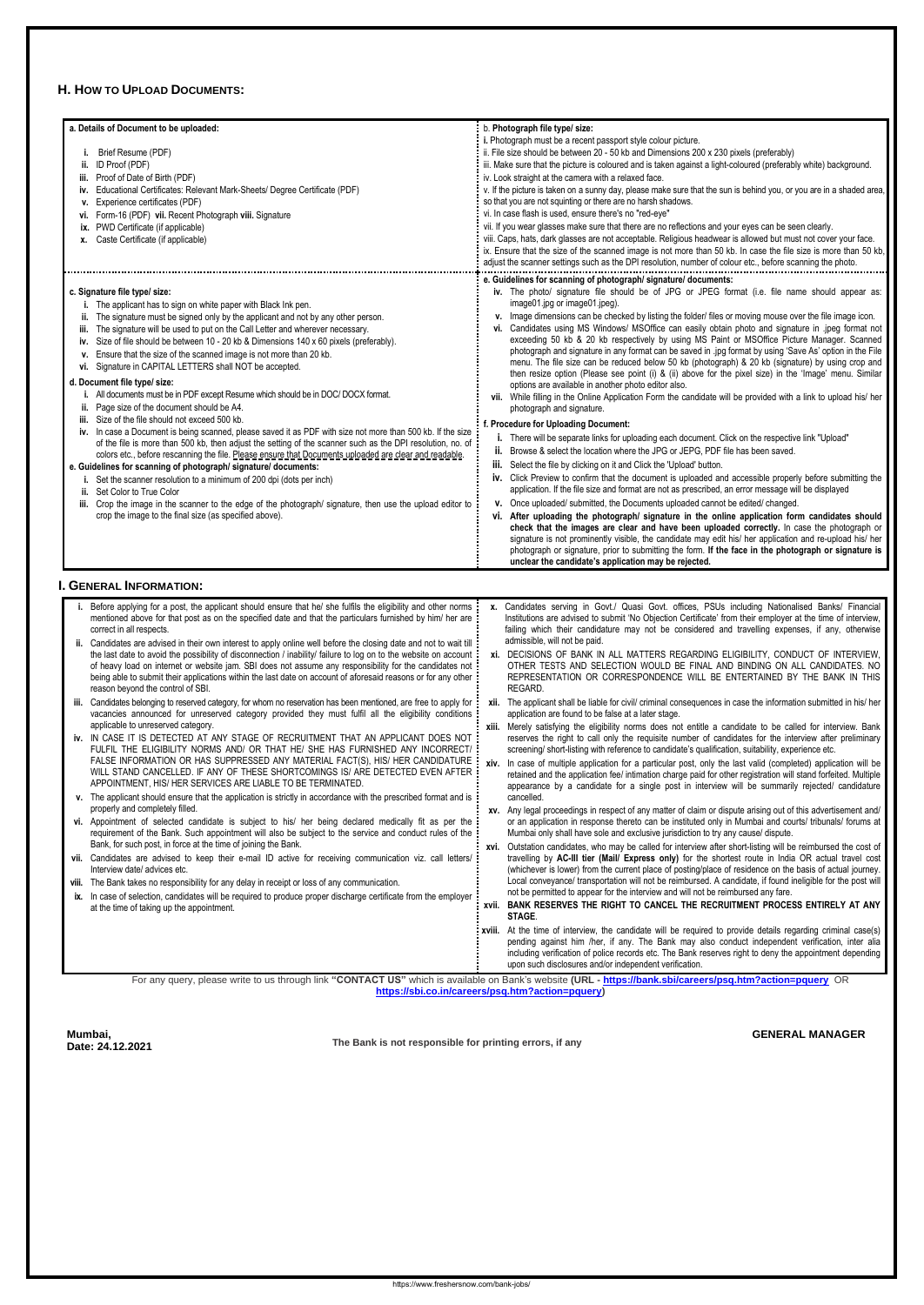#### **H. HOW TO UPLOAD DOCUMENTS:**

| a. Details of Document to be uploaded:                                                                                                                                                                                    | b. Photograph file type/ size:                                                                                                                                                                                           |
|---------------------------------------------------------------------------------------------------------------------------------------------------------------------------------------------------------------------------|--------------------------------------------------------------------------------------------------------------------------------------------------------------------------------------------------------------------------|
|                                                                                                                                                                                                                           | i. Photograph must be a recent passport style colour picture.                                                                                                                                                            |
| Brief Resume (PDF)                                                                                                                                                                                                        | ii. File size should be between 20 - 50 kb and Dimensions 200 x 230 pixels (preferably)                                                                                                                                  |
| ID Proof (PDF)<br>ii.                                                                                                                                                                                                     | iii. Make sure that the picture is coloured and is taken against a light-coloured (preferably white) background.                                                                                                         |
| Proof of Date of Birth (PDF)<br>iv. Educational Certificates: Relevant Mark-Sheets/ Degree Certificate (PDF)                                                                                                              | iv. Look straight at the camera with a relaxed face.<br>v. If the picture is taken on a sunny day, please make sure that the sun is behind you, or you are in a shaded area,                                             |
| v. Experience certificates (PDF)                                                                                                                                                                                          | so that you are not squinting or there are no harsh shadows.                                                                                                                                                             |
| vi. Form-16 (PDF) vii. Recent Photograph viii. Signature                                                                                                                                                                  | vi. In case flash is used, ensure there's no "red-eye"                                                                                                                                                                   |
| ix. PWD Certificate (if applicable)                                                                                                                                                                                       | vii. If you wear glasses make sure that there are no reflections and your eyes can be seen clearly.                                                                                                                      |
| x. Caste Certificate (if applicable)                                                                                                                                                                                      | viii. Caps, hats, dark glasses are not acceptable. Religious headwear is allowed but must not cover your face.                                                                                                           |
|                                                                                                                                                                                                                           | ix. Ensure that the size of the scanned image is not more than 50 kb. In case the file size is more than 50 kb,                                                                                                          |
|                                                                                                                                                                                                                           | adjust the scanner settings such as the DPI resolution, number of colour etc., before scanning the photo.                                                                                                                |
|                                                                                                                                                                                                                           | e. Guidelines for scanning of photograph/ signature/ documents:                                                                                                                                                          |
| c. Signature file type/ size:                                                                                                                                                                                             | iv. The photo/ signature file should be of JPG or JPEG format (i.e. file name should appear as:                                                                                                                          |
| i. The applicant has to sign on white paper with Black Ink pen.                                                                                                                                                           | image01.jpg or image01.jpeg).                                                                                                                                                                                            |
| The signature must be signed only by the applicant and not by any other person.                                                                                                                                           | v. Image dimensions can be checked by listing the folder/ files or moving mouse over the file image icon.                                                                                                                |
| The signature will be used to put on the Call Letter and wherever necessary.<br>iii.                                                                                                                                      | vi. Candidates using MS Windows/ MSOffice can easily obtain photo and signature in .jpeg format not<br>exceeding 50 kb & 20 kb respectively by using MS Paint or MSOffice Picture Manager. Scanned                       |
| iv. Size of file should be between 10 - 20 kb & Dimensions 140 x 60 pixels (preferably).<br>Ensure that the size of the scanned image is not more than 20 kb.                                                             | photograph and signature in any format can be saved in .jpg format by using 'Save As' option in the File                                                                                                                 |
| v.<br>vi. Signature in CAPITAL LETTERS shall NOT be accepted.                                                                                                                                                             | menu. The file size can be reduced below 50 kb (photograph) & 20 kb (signature) by using crop and                                                                                                                        |
|                                                                                                                                                                                                                           | then resize option (Please see point (i) & (ii) above for the pixel size) in the 'Image' menu. Similar                                                                                                                   |
| d. Document file type/ size:                                                                                                                                                                                              | options are available in another photo editor also.                                                                                                                                                                      |
| i. All documents must be in PDF except Resume which should be in DOC/DOCX format.                                                                                                                                         | vii. While filling in the Online Application Form the candidate will be provided with a link to upload his/ her                                                                                                          |
| ii. Page size of the document should be A4.<br>iii. Size of the file should not exceed 500 kb.                                                                                                                            | photograph and signature.                                                                                                                                                                                                |
| iv. In case a Document is being scanned, please saved it as PDF with size not more than 500 kb. If the size                                                                                                               | : Procedure for Uploading Document:                                                                                                                                                                                      |
| of the file is more than 500 kb, then adjust the setting of the scanner such as the DPI resolution, no. of                                                                                                                | i. There will be separate links for uploading each document. Click on the respective link "Upload"                                                                                                                       |
| colors etc., before rescanning the file. Please ensure that Documents uploaded are clear and readable.                                                                                                                    | Browse & select the location where the JPG or JEPG, PDF file has been saved.<br>ii.                                                                                                                                      |
| e. Guidelines for scanning of photograph/ signature/ documents:                                                                                                                                                           | iii. Select the file by clicking on it and Click the 'Upload' button.                                                                                                                                                    |
| Set the scanner resolution to a minimum of 200 dpi (dots per inch)                                                                                                                                                        | iv. Click Preview to confirm that the document is uploaded and accessible properly before submitting the                                                                                                                 |
| <b>ii.</b> Set Color to True Color                                                                                                                                                                                        | application. If the file size and format are not as prescribed, an error message will be displayed<br>Once uploaded/ submitted, the Documents uploaded cannot be edited/ changed.<br>v.                                  |
| iii. Crop the image in the scanner to the edge of the photograph/ signature, then use the upload editor to<br>crop the image to the final size (as specified above).                                                      | After uploading the photograph/ signature in the online application form candidates should<br>۷i.                                                                                                                        |
|                                                                                                                                                                                                                           | check that the images are clear and have been uploaded correctly. In case the photograph or                                                                                                                              |
|                                                                                                                                                                                                                           | signature is not prominently visible, the candidate may edit his/ her application and re-upload his/ her                                                                                                                 |
|                                                                                                                                                                                                                           |                                                                                                                                                                                                                          |
|                                                                                                                                                                                                                           | photograph or signature, prior to submitting the form. If the face in the photograph or signature is                                                                                                                     |
|                                                                                                                                                                                                                           | unclear the candidate's application may be rejected.                                                                                                                                                                     |
|                                                                                                                                                                                                                           |                                                                                                                                                                                                                          |
| <b>I. GENERAL INFORMATION:</b>                                                                                                                                                                                            |                                                                                                                                                                                                                          |
| Before applying for a post, the applicant should ensure that he/ she fulfils the eligibility and other norms                                                                                                              | x. Candidates serving in Govt./ Quasi Govt. offices, PSUs including Nationalised Banks/ Financial                                                                                                                        |
| mentioned above for that post as on the specified date and that the particulars furnished by him/ her are                                                                                                                 | Institutions are advised to submit 'No Objection Certificate' from their employer at the time of interview,                                                                                                              |
| correct in all respects.                                                                                                                                                                                                  | failing which their candidature may not be considered and travelling expenses, if any, otherwise                                                                                                                         |
| Candidates are advised in their own interest to apply online well before the closing date and not to wait till                                                                                                            | admissible, will not be paid.                                                                                                                                                                                            |
| the last date to avoid the possibility of disconnection / inability/ failure to log on to the website on account                                                                                                          | xi. DECISIONS OF BANK IN ALL MATTERS REGARDING ELIGIBILITY, CONDUCT OF INTERVIEW,                                                                                                                                        |
| of heavy load on internet or website jam. SBI does not assume any responsibility for the candidates not:<br>being able to submit their applications within the last date on account of aforesaid reasons or for any other | OTHER TESTS AND SELECTION WOULD BE FINAL AND BINDING ON ALL CANDIDATES. NO<br>REPRESENTATION OR CORRESPONDENCE WILL BE ENTERTAINED BY THE BANK IN THIS                                                                   |
| reason beyond the control of SBI.                                                                                                                                                                                         | REGARD.                                                                                                                                                                                                                  |
| Candidates belonging to reserved category, for whom no reservation has been mentioned, are free to apply for                                                                                                              | xii. The applicant shall be liable for civil/ criminal consequences in case the information submitted in his/ her                                                                                                        |
| vacancies announced for unreserved category provided they must fulfil all the eligibility conditions                                                                                                                      | application are found to be false at a later stage.                                                                                                                                                                      |
| applicable to unreserved category.                                                                                                                                                                                        | xiii. Merely satisfying the eligibility norms does not entitle a candidate to be called for interview. Bank                                                                                                              |
| iv. IN CASE IT IS DETECTED AT ANY STAGE OF RECRUITMENT THAT AN APPLICANT DOES NOT:                                                                                                                                        | reserves the right to call only the requisite number of candidates for the interview after preliminary                                                                                                                   |
| FULFIL THE ELIGIBILITY NORMS AND/ OR THAT HE/ SHE HAS FURNISHED ANY INCORRECT/                                                                                                                                            | screening/ short-listing with reference to candidate's qualification, suitability, experience etc.                                                                                                                       |
| FALSE INFORMATION OR HAS SUPPRESSED ANY MATERIAL FACT(S), HIS/ HER CANDIDATURE<br>WILL STAND CANCELLED. IF ANY OF THESE SHORTCOMINGS IS/ ARE DETECTED EVEN AFTER                                                          | xiv. In case of multiple application for a particular post, only the last valid (completed) application will be                                                                                                          |
| APPOINTMENT, HIS/HER SERVICES ARE LIABLE TO BE TERMINATED.                                                                                                                                                                | retained and the application fee/ intimation charge paid for other registration will stand forfeited. Multiple<br>appearance by a candidate for a single post in interview will be summarily rejected/ candidature       |
| v. The applicant should ensure that the application is strictly in accordance with the prescribed format and is                                                                                                           | cancelled.                                                                                                                                                                                                               |
| properly and completely filled.                                                                                                                                                                                           | xv. Any legal proceedings in respect of any matter of claim or dispute arising out of this advertisement and/                                                                                                            |
| vi. Appointment of selected candidate is subject to his/ her being declared medically fit as per the                                                                                                                      | or an application in response thereto can be instituted only in Mumbai and courts/ tribunals/ forums at                                                                                                                  |
| requirement of the Bank. Such appointment will also be subject to the service and conduct rules of the                                                                                                                    | Mumbai only shall have sole and exclusive jurisdiction to try any cause/ dispute.                                                                                                                                        |
| Bank, for such post, in force at the time of joining the Bank.                                                                                                                                                            | xvi. Outstation candidates, who may be called for interview after short-listing will be reimbursed the cost of                                                                                                           |
| vii. Candidates are advised to keep their e-mail ID active for receiving communication viz. call letters/<br>Interview date/advices etc.                                                                                  | travelling by AC-III tier (Mail/ Express only) for the shortest route in India OR actual travel cost                                                                                                                     |
|                                                                                                                                                                                                                           | (whichever is lower) from the current place of posting/place of residence on the basis of actual journey.<br>Local conveyance/ transportation will not be reimbursed. A candidate, if found ineligible for the post will |
| viii. The Bank takes no responsibility for any delay in receipt or loss of any communication.                                                                                                                             | not be permitted to appear for the interview and will not be reimbursed any fare.                                                                                                                                        |
| ix. In case of selection, candidates will be required to produce proper discharge certificate from the employer<br>at the time of taking up the appointment.                                                              | xvii. BANK RESERVES THE RIGHT TO CANCEL THE RECRUITMENT PROCESS ENTIRELY AT ANY                                                                                                                                          |
|                                                                                                                                                                                                                           | STAGE.                                                                                                                                                                                                                   |
|                                                                                                                                                                                                                           | xviii. At the time of interview, the candidate will be required to provide details regarding criminal case(s)                                                                                                            |
|                                                                                                                                                                                                                           | pending against him /her, if any. The Bank may also conduct independent verification, inter alia<br>including verification of police records etc. The Bank reserves right to deny the appointment depending              |

**[https://sbi.co.in/careers/psq.htm?action=pquery\)](https://sbi.co.in/careers/psq.htm?action=pquery)**

**Mumbai, Date: 24.12.2021**

**The Bank is not responsible for printing errors, if any**

**GENERAL MANAGER**